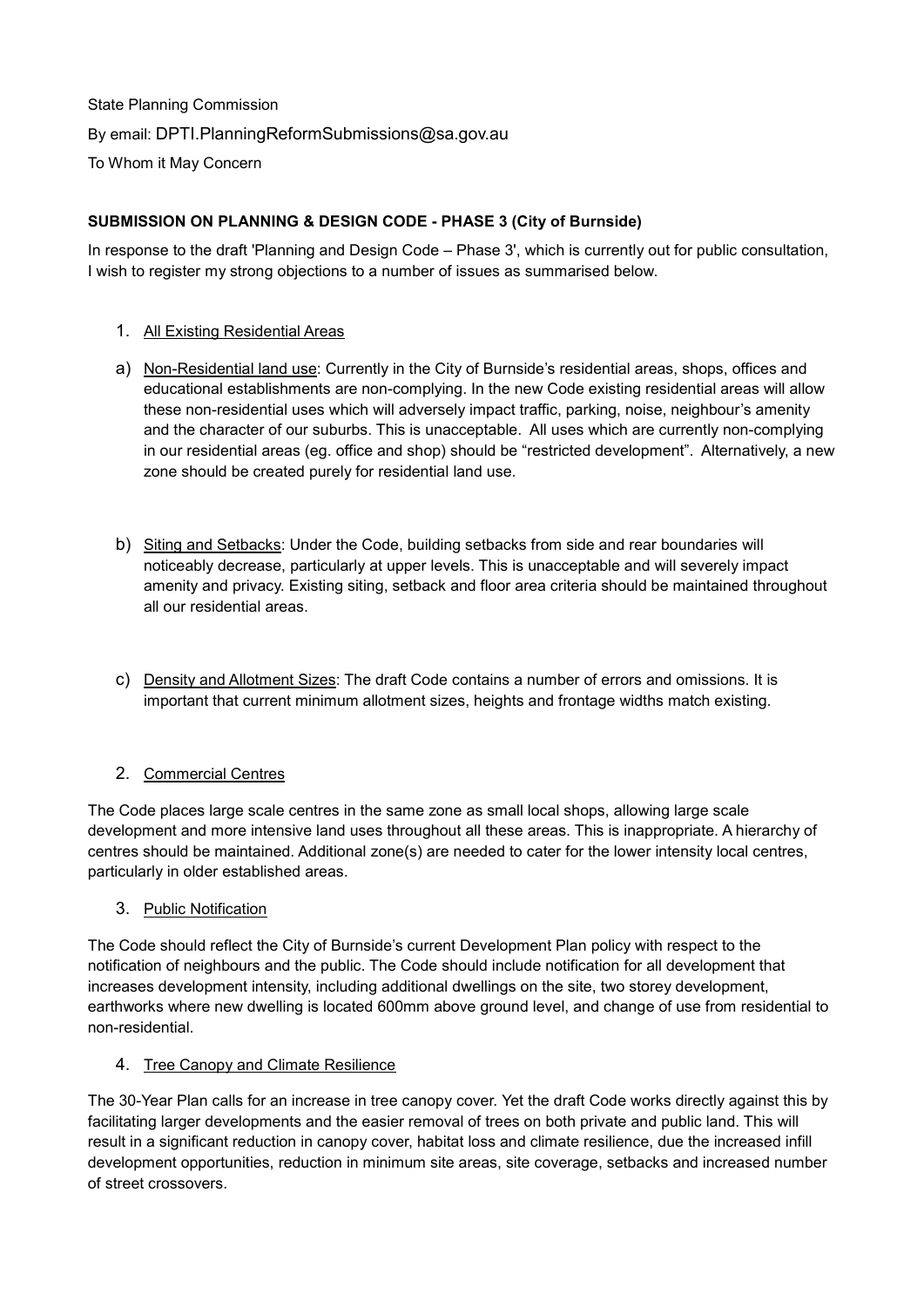State Planning Commission By email: [DPTI.PlanningReformSubmissions@sa.gov.au](mailto:DPTI.PlanningReformSubmissions@sa.gov.au) To Whom it May Concern

## **SUBMISSION ON PLANNING & DESIGN CODE - PHASE 3 (City of Burnside)**

In response to the draft 'Planning and Design Code – Phase 3', which is currently out for public consultation, I wish to register my strong objections to a number of issues as summarised below.

- 1. All Existing Residential Areas
- a) Non-Residential land use: Currently in the City of Burnside's residential areas, shops, offices and educational establishments are non-complying. In the new Code existing residential areas will allow these non-residential uses which will adversely impact traffic, parking, noise, neighbour's amenity and the character of our suburbs. This is unacceptable. All uses which are currently non-complying in our residential areas (eg. office and shop) should be "restricted development". Alternatively, a new zone should be created purely for residential land use.
- b) Siting and Setbacks: Under the Code, building setbacks from side and rear boundaries will noticeably decrease, particularly at upper levels. This is unacceptable and will severely impact amenity and privacy. Existing siting, setback and floor area criteria should be maintained throughout all our residential areas.
- c) Density and Allotment Sizes: The draft Code contains a number of errors and omissions. It is important that current minimum allotment sizes, heights and frontage widths match existing.

# 2. Commercial Centres

The Code places large scale centres in the same zone as small local shops, allowing large scale development and more intensive land uses throughout all these areas. This is inappropriate. A hierarchy of centres should be maintained. Additional zone(s) are needed to cater for the lower intensity local centres, particularly in older established areas.

### 3. Public Notification

The Code should reflect the City of Burnside's current Development Plan policy with respect to the notification of neighbours and the public. The Code should include notification for all development that increases development intensity, including additional dwellings on the site, two storey development, earthworks where new dwelling is located 600mm above ground level, and change of use from residential to non-residential.

#### 4. Tree Canopy and Climate Resilience

The 30-Year Plan calls for an increase in tree canopy cover. Yet the draft Code works directly against this by facilitating larger developments and the easier removal of trees on both private and public land. This will result in a significant reduction in canopy cover, habitat loss and climate resilience, due the increased infill development opportunities, reduction in minimum site areas, site coverage, setbacks and increased number of street crossovers.